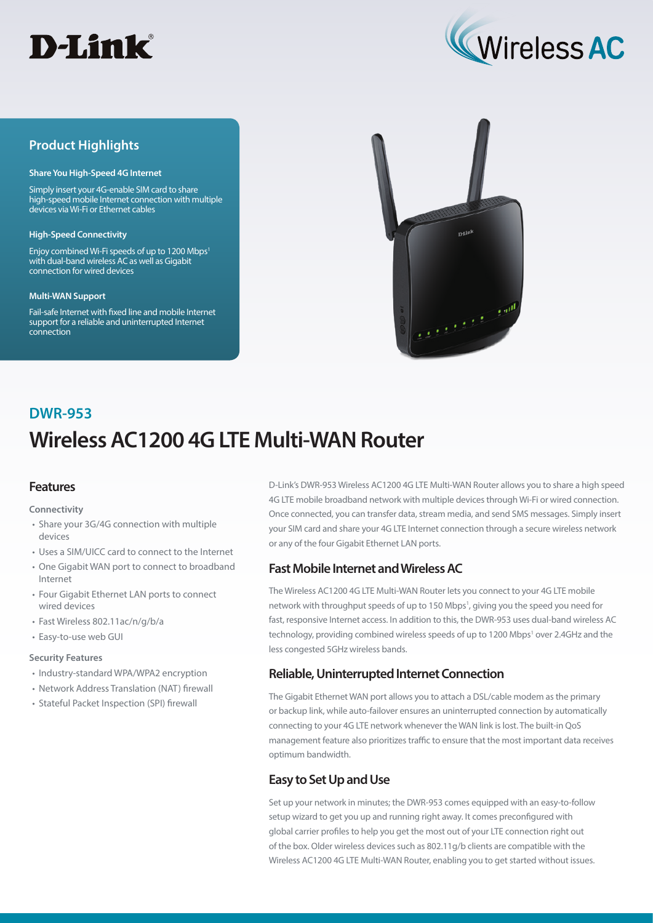



## **Product Highlights**

#### **Share You High-Speed 4G Internet**

Simply insert your 4G-enable SIM card to share high-speed mobile Internet connection with multiple devices via Wi-Fi or Ethernet cables

#### **High-Speed Connectivity**

Enjoy combined Wi-Fi speeds of up to 1200 Mbps<sup>1</sup> with dual-band wireless AC as well as Gigabit connection for wired devices

#### **Multi-WAN Support**

Fail-safe Internet with fixed line and mobile Internet support for a reliable and uninterrupted Internet connection



# **Wireless AC1200 4G LTE Multi-WAN Router DWR-953**

## **Features**

#### **Connectivity**

- Share your 3G/4G connection with multiple devices
- Uses a SIM/UICC card to connect to the Internet
- One Gigabit WAN port to connect to broadband Internet
- Four Gigabit Ethernet LAN ports to connect wired devices
- Fast Wireless 802.11ac/n/g/b/a
- Easy-to-use web GUI

#### **Security Features**

- Industry-standard WPA/WPA2 encryption
- Network Address Translation (NAT) firewall
- Stateful Packet Inspection (SPI) firewall

D-Link's DWR-953 Wireless AC1200 4G LTE Multi-WAN Router allows you to share a high speed 4G LTE mobile broadband network with multiple devices through Wi-Fi or wired connection. Once connected, you can transfer data, stream media, and send SMS messages. Simply insert your SIM card and share your 4G LTE Internet connection through a secure wireless network or any of the four Gigabit Ethernet LAN ports.

## **Fast Mobile Internet and Wireless AC**

The Wireless AC1200 4G LTE Multi-WAN Router lets you connect to your 4G LTE mobile network with throughput speeds of up to 150 Mbps<sup>1</sup>, giving you the speed you need for fast, responsive Internet access. In addition to this, the DWR-953 uses dual-band wireless AC technology, providing combined wireless speeds of up to 1200 Mbps<sup>1</sup> over 2.4GHz and the less congested 5GHz wireless bands.

## **Reliable, Uninterrupted Internet Connection**

The Gigabit Ethernet WAN port allows you to attach a DSL/cable modem as the primary or backup link, while auto-failover ensures an uninterrupted connection by automatically connecting to your 4G LTE network whenever the WAN link is lost. The built-in QoS management feature also prioritizes traffic to ensure that the most important data receives optimum bandwidth.

## **Easy to Set Up and Use**

Set up your network in minutes; the DWR-953 comes equipped with an easy-to-follow setup wizard to get you up and running right away. It comes preconfigured with global carrier profiles to help you get the most out of your LTE connection right out of the box. Older wireless devices such as 802.11g/b clients are compatible with the Wireless AC1200 4G LTE Multi-WAN Router, enabling you to get started without issues.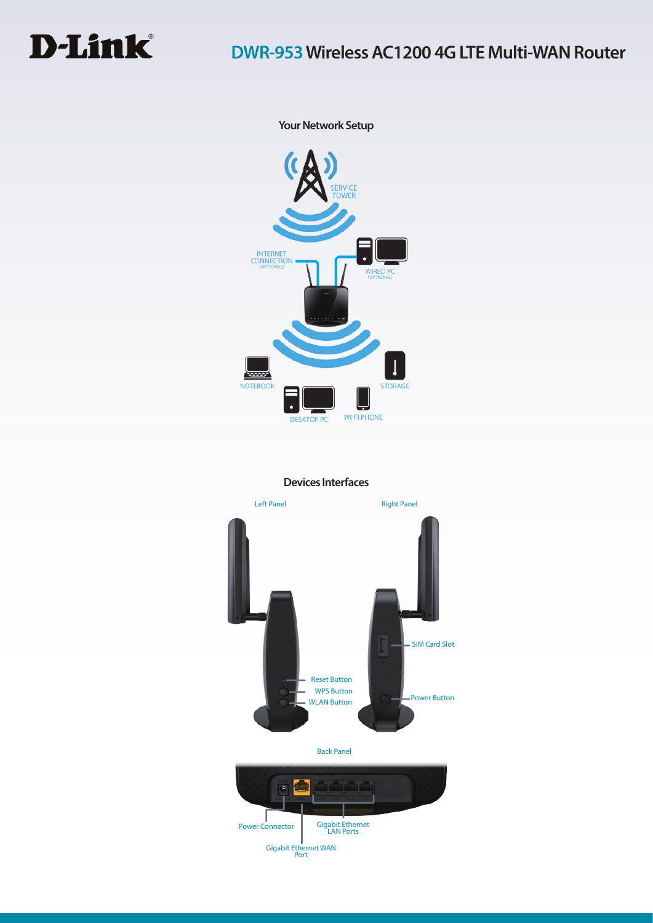

**Your Network Setup**



**Devices Interfaces**



Gigabit Ethernet WAN Port